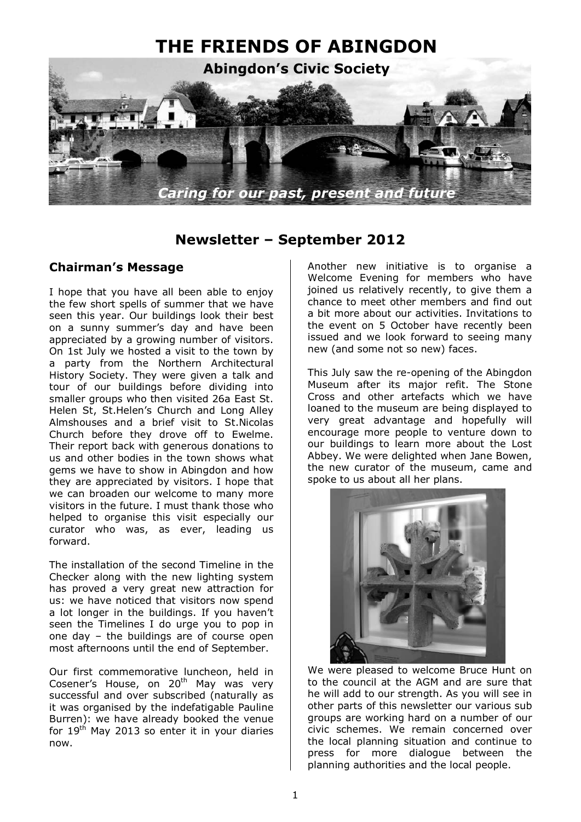

# **Newsletter – September 2012**

### **Chairman's Message**

I hope that you have all been able to enjoy the few short spells of summer that we have seen this year. Our buildings look their best on a sunny summer's day and have been appreciated by a growing number of visitors. On 1st July we hosted a visit to the town by a party from the Northern Architectural History Society. They were given a talk and tour of our buildings before dividing into smaller groups who then visited 26a East St. Helen St, St.Helen's Church and Long Alley Almshouses and a brief visit to St.Nicolas Church before they drove off to Ewelme. Their report back with generous donations to us and other bodies in the town shows what gems we have to show in Abingdon and how they are appreciated by visitors. I hope that we can broaden our welcome to many more visitors in the future. I must thank those who helped to organise this visit especially our curator who was, as ever, leading us forward.

The installation of the second Timeline in the Checker along with the new lighting system has proved a very great new attraction for us: we have noticed that visitors now spend a lot longer in the buildings. If you haven't seen the Timelines I do urge you to pop in one day – the buildings are of course open most afternoons until the end of September.

Our first commemorative luncheon, held in Cosener's House, on 20<sup>th</sup> May was very successful and over subscribed (naturally as it was organised by the indefatigable Pauline Burren): we have already booked the venue for  $19<sup>th</sup>$  May 2013 so enter it in your diaries now.

Another new initiative is to organise a Welcome Evening for members who have joined us relatively recently, to give them a chance to meet other members and find out a bit more about our activities. Invitations to the event on 5 October have recently been issued and we look forward to seeing many new (and some not so new) faces.

This July saw the re-opening of the Abingdon Museum after its major refit. The Stone Cross and other artefacts which we have loaned to the museum are being displayed to very great advantage and hopefully will encourage more people to venture down to our buildings to learn more about the Lost Abbey. We were delighted when Jane Bowen, the new curator of the museum, came and spoke to us about all her plans.



We were pleased to welcome Bruce Hunt on to the council at the AGM and are sure that he will add to our strength. As you will see in other parts of this newsletter our various sub groups are working hard on a number of our civic schemes. We remain concerned over the local planning situation and continue to press for more dialogue between the planning authorities and the local people.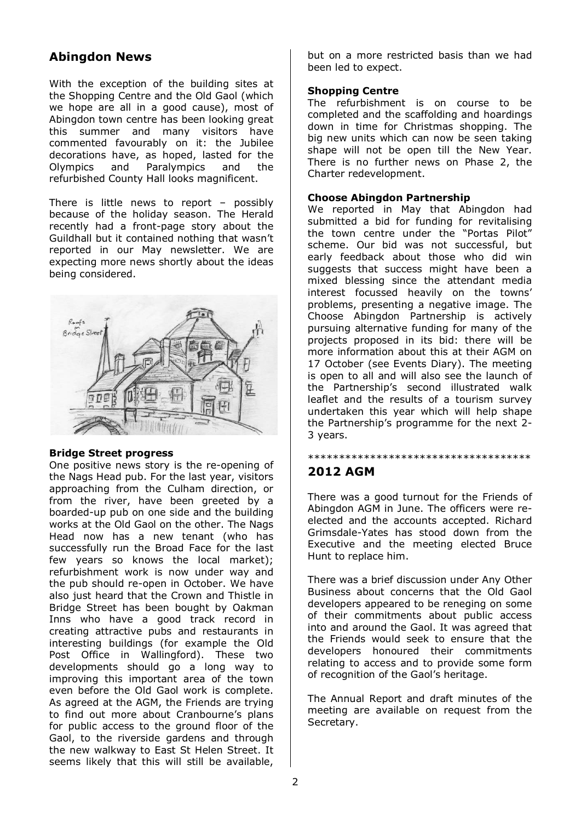# **Abingdon News**

With the exception of the building sites at the Shopping Centre and the Old Gaol (which we hope are all in a good cause), most of Abingdon town centre has been looking great this summer and many visitors have commented favourably on it: the Jubilee decorations have, as hoped, lasted for the Olympics and Paralympics and the refurbished County Hall looks magnificent.

There is little news to report – possibly because of the holiday season. The Herald recently had a front-page story about the Guildhall but it contained nothing that wasn't reported in our May newsletter. We are expecting more news shortly about the ideas being considered.



#### **Bridge Street progress**

One positive news story is the re-opening of the Nags Head pub. For the last year, visitors approaching from the Culham direction, or from the river, have been greeted by a boarded-up pub on one side and the building works at the Old Gaol on the other. The Nags Head now has a new tenant (who has successfully run the Broad Face for the last few years so knows the local market); refurbishment work is now under way and the pub should re-open in October. We have also just heard that the Crown and Thistle in Bridge Street has been bought by Oakman Inns who have a good track record in creating attractive pubs and restaurants in interesting buildings (for example the Old Post Office in Wallingford). These two developments should go a long way to improving this important area of the town even before the Old Gaol work is complete. As agreed at the AGM, the Friends are trying to find out more about Cranbourne's plans for public access to the ground floor of the Gaol, to the riverside gardens and through the new walkway to East St Helen Street. It seems likely that this will still be available,

but on a more restricted basis than we had been led to expect.

### **Shopping Centre**

The refurbishment is on course to be completed and the scaffolding and hoardings down in time for Christmas shopping. The big new units which can now be seen taking shape will not be open till the New Year. There is no further news on Phase 2, the Charter redevelopment.

#### **Choose Abingdon Partnership**

We reported in May that Abingdon had submitted a bid for funding for revitalising the town centre under the "Portas Pilot" scheme. Our bid was not successful, but early feedback about those who did win suggests that success might have been a mixed blessing since the attendant media interest focussed heavily on the towns' problems, presenting a negative image. The Choose Abingdon Partnership is actively pursuing alternative funding for many of the projects proposed in its bid: there will be more information about this at their AGM on 17 October (see Events Diary). The meeting is open to all and will also see the launch of the Partnership's second illustrated walk leaflet and the results of a tourism survey undertaken this year which will help shape the Partnership's programme for the next 2- 3 years.

## **2012 AGM**

There was a good turnout for the Friends of Abingdon AGM in June. The officers were reelected and the accounts accepted. Richard Grimsdale-Yates has stood down from the Executive and the meeting elected Bruce Hunt to replace him.

\*\*\*\*\*\*\*\*\*\*\*\*\*\*\*\*\*\*\*\*\*\*\*\*\*\*\*\*\*\*\*\*\*\*\*\*

There was a brief discussion under Any Other Business about concerns that the Old Gaol developers appeared to be reneging on some of their commitments about public access into and around the Gaol. It was agreed that the Friends would seek to ensure that the developers honoured their commitments relating to access and to provide some form of recognition of the Gaol's heritage.

The Annual Report and draft minutes of the meeting are available on request from the Secretary.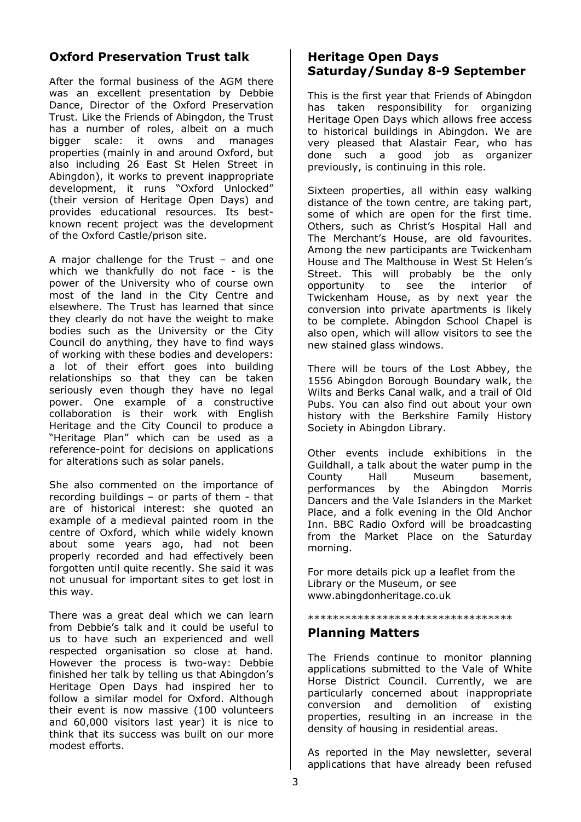# **Oxford Preservation Trust talk**

After the formal business of the AGM there was an excellent presentation by Debbie Dance, Director of the Oxford Preservation Trust. Like the Friends of Abingdon, the Trust has a number of roles, albeit on a much bigger scale: it owns and manages properties (mainly in and around Oxford, but also including 26 East St Helen Street in Abingdon), it works to prevent inappropriate development, it runs "Oxford Unlocked" (their version of Heritage Open Days) and provides educational resources. Its bestknown recent project was the development of the Oxford Castle/prison site.

A major challenge for the Trust – and one which we thankfully do not face - is the power of the University who of course own most of the land in the City Centre and elsewhere. The Trust has learned that since they clearly do not have the weight to make bodies such as the University or the City Council do anything, they have to find ways of working with these bodies and developers: a lot of their effort goes into building relationships so that they can be taken seriously even though they have no legal power. One example of a constructive collaboration is their work with English Heritage and the City Council to produce a "Heritage Plan" which can be used as a reference-point for decisions on applications for alterations such as solar panels.

She also commented on the importance of recording buildings – or parts of them - that are of historical interest: she quoted an example of a medieval painted room in the centre of Oxford, which while widely known about some years ago, had not been properly recorded and had effectively been forgotten until quite recently. She said it was not unusual for important sites to get lost in this way.

There was a great deal which we can learn from Debbie's talk and it could be useful to us to have such an experienced and well respected organisation so close at hand. However the process is two-way: Debbie finished her talk by telling us that Abingdon's Heritage Open Days had inspired her to follow a similar model for Oxford. Although their event is now massive (100 volunteers and 60,000 visitors last year) it is nice to think that its success was built on our more modest efforts.

## **Heritage Open Days Saturday/Sunday 8-9 September**

This is the first year that Friends of Abingdon has taken responsibility for organizing Heritage Open Days which allows free access to historical buildings in Abingdon. We are very pleased that Alastair Fear, who has done such a good job as organizer previously, is continuing in this role.

Sixteen properties, all within easy walking distance of the town centre, are taking part, some of which are open for the first time. Others, such as Christ's Hospital Hall and The Merchant's House, are old favourites. Among the new participants are Twickenham House and The Malthouse in West St Helen's Street. This will probably be the only opportunity to see the interior of Twickenham House, as by next year the conversion into private apartments is likely to be complete. Abingdon School Chapel is also open, which will allow visitors to see the new stained glass windows.

There will be tours of the Lost Abbey, the 1556 Abingdon Borough Boundary walk, the Wilts and Berks Canal walk, and a trail of Old Pubs. You can also find out about your own history with the Berkshire Family History Society in Abingdon Library.

Other events include exhibitions in the Guildhall, a talk about the water pump in the County Hall Museum basement, performances by the Abingdon Morris Dancers and the Vale Islanders in the Market Place, and a folk evening in the Old Anchor Inn. BBC Radio Oxford will be broadcasting from the Market Place on the Saturday morning.

For more details pick up a leaflet from the Library or the Museum, or see www.abingdonheritage.co.uk

## \*\*\*\*\*\*\*\*\*\*\*\*\*\*\*\*\*\*\*\*\*\*\*\*\*\*\*\*\*\*\*\*\*

#### **Planning Matters**

The Friends continue to monitor planning applications submitted to the Vale of White Horse District Council. Currently, we are particularly concerned about inappropriate conversion and demolition of existing properties, resulting in an increase in the density of housing in residential areas.

As reported in the May newsletter, several applications that have already been refused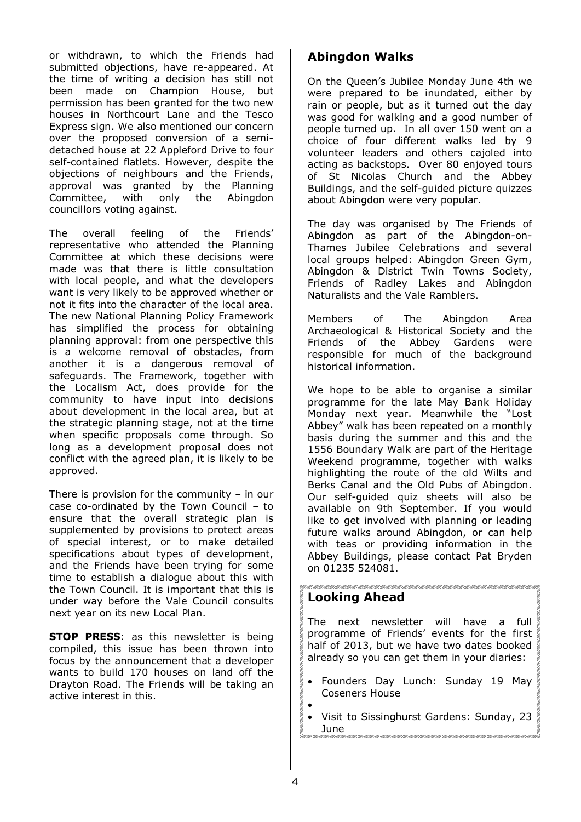or withdrawn, to which the Friends had submitted objections, have re-appeared. At the time of writing a decision has still not been made on Champion House, but permission has been granted for the two new houses in Northcourt Lane and the Tesco Express sign. We also mentioned our concern over the proposed conversion of a semidetached house at 22 Appleford Drive to four self-contained flatlets. However, despite the objections of neighbours and the Friends, approval was granted by the Planning Committee, with only the Abingdon councillors voting against.

The overall feeling of the Friends' representative who attended the Planning Committee at which these decisions were made was that there is little consultation with local people, and what the developers want is very likely to be approved whether or not it fits into the character of the local area. The new National Planning Policy Framework has simplified the process for obtaining planning approval: from one perspective this is a welcome removal of obstacles, from another it is a dangerous removal of safeguards. The Framework, together with the Localism Act, does provide for the community to have input into decisions about development in the local area, but at the strategic planning stage, not at the time when specific proposals come through. So long as a development proposal does not conflict with the agreed plan, it is likely to be approved.

There is provision for the community  $-$  in our case co-ordinated by the Town Council – to ensure that the overall strategic plan is supplemented by provisions to protect areas of special interest, or to make detailed specifications about types of development, and the Friends have been trying for some time to establish a dialogue about this with the Town Council. It is important that this is under way before the Vale Council consults next year on its new Local Plan.

**STOP PRESS:** as this newsletter is being compiled, this issue has been thrown into focus by the announcement that a developer wants to build 170 houses on land off the Drayton Road. The Friends will be taking an active interest in this.

# **Abingdon Walks**

On the Queen's Jubilee Monday June 4th we were prepared to be inundated, either by rain or people, but as it turned out the day was good for walking and a good number of people turned up. In all over 150 went on a choice of four different walks led by 9 volunteer leaders and others cajoled into acting as backstops. Over 80 enjoyed tours of St Nicolas Church and the Abbey Buildings, and the self-guided picture quizzes about Abingdon were very popular.

The day was organised by The Friends of Abingdon as part of the Abingdon-on-Thames Jubilee Celebrations and several local groups helped: Abingdon Green Gym, Abingdon & District Twin Towns Society, Friends of Radley Lakes and Abingdon Naturalists and the Vale Ramblers.

Members of The Abingdon Area Archaeological & Historical Society and the Friends of the Abbey Gardens were responsible for much of the background historical information.

We hope to be able to organise a similar programme for the late May Bank Holiday Monday next year. Meanwhile the "Lost Abbey" walk has been repeated on a monthly basis during the summer and this and the 1556 Boundary Walk are part of the Heritage Weekend programme, together with walks highlighting the route of the old Wilts and Berks Canal and the Old Pubs of Abingdon. Our self-guided quiz sheets will also be available on 9th September. If you would like to get involved with planning or leading future walks around Abingdon, or can help with teas or providing information in the Abbey Buildings, please contact Pat Bryden on 01235 524081.

## **Looking Ahead**

The next newsletter will have a full programme of Friends' events for the first half of 2013, but we have two dates booked already so you can get them in your diaries:

- Founders Day Lunch: Sunday 19 May Coseners House •
	-
	- Visit to Sissinghurst Gardens: Sunday, 23
	- June 1990 1990 1990 1990 1990 1990 1990 1990 1990 1990 1990 1990 1990 1990 1990 1<br>1990 1990 1990 1990 1990 1990 1990 1990 1990 1990 1990 1990 1990 1990 1990 1990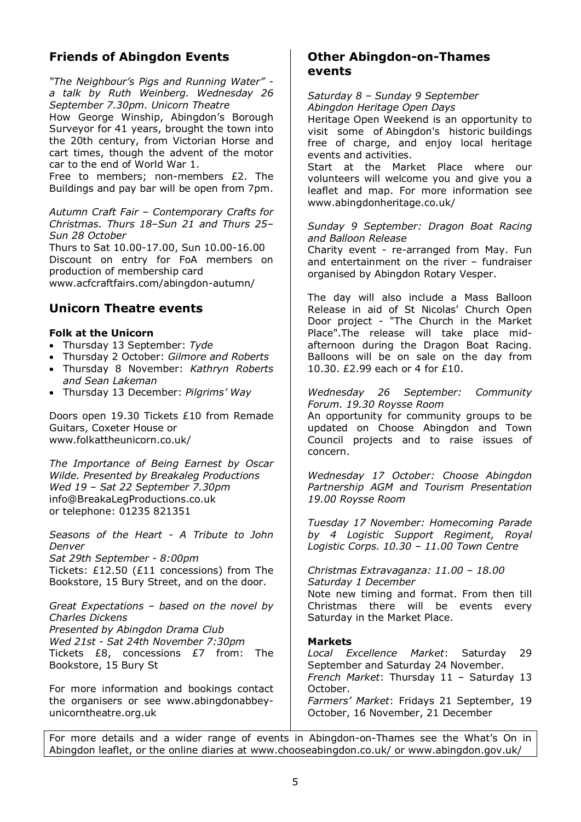# **Friends of Abingdon Events**

*"The Neighbour's Pigs and Running Water" a talk by Ruth Weinberg. Wednesday 26 September 7.30pm. Unicorn Theatre* 

How George Winship, Abingdon's Borough Surveyor for 41 years, brought the town into the 20th century, from Victorian Horse and cart times, though the advent of the motor car to the end of World War 1.

Free to members; non-members £2. The Buildings and pay bar will be open from 7pm.

*Autumn Craft Fair – Contemporary Crafts for Christmas. Thurs 18–Sun 21 and Thurs 25– Sun 28 October* 

Thurs to Sat 10.00-17.00, Sun 10.00-16.00 Discount on entry for FoA members on production of membership card www.acfcraftfairs.com/abingdon-autumn/

### **Unicorn Theatre events**

#### **Folk at the Unicorn**

- Thursday 13 September: *Tyde*
- Thursday 2 October: *Gilmore and Roberts*
- Thursday 8 November: *Kathryn Roberts and Sean Lakeman*
- Thursday 13 December: *Pilgrims' Way*

Doors open 19.30 Tickets £10 from Remade Guitars, Coxeter House or www.folkattheunicorn.co.uk/

*The Importance of Being Earnest by Oscar Wilde. Presented by Breakaleg Productions Wed 19 – Sat 22 September 7.30pm*  info@BreakaLegProductions.co.uk or telephone: 01235 821351

*Seasons of the Heart - A Tribute to John Denver Sat 29th September - 8:00pm*  Tickets: £12.50 (£11 concessions) from The Bookstore, 15 Bury Street, and on the door.

*Great Expectations – based on the novel by Charles Dickens Presented by Abingdon Drama Club Wed 21st - Sat 24th November 7:30pm*  Tickets £8, concessions £7 from: The Bookstore, 15 Bury St

For more information and bookings contact the organisers or see www.abingdonabbeyunicorntheatre.org.uk

### **Other Abingdon-on-Thames events**

*Saturday 8 – Sunday 9 September* 

*Abingdon Heritage Open Days* 

Heritage Open Weekend is an opportunity to visit some of Abingdon's historic buildings free of charge, and enjoy local heritage events and activities.

Start at the Market Place where our volunteers will welcome you and give you a leaflet and map. For more information see www.abingdonheritage.co.uk/

*Sunday 9 September: Dragon Boat Racing and Balloon Release* 

Charity event - re-arranged from May. Fun and entertainment on the river – fundraiser organised by Abingdon Rotary Vesper.

The day will also include a Mass Balloon Release in aid of St Nicolas' Church Open Door project - "The Church in the Market Place".The release will take place midafternoon during the Dragon Boat Racing. Balloons will be on sale on the day from 10.30. £2.99 each or 4 for £10.

*Wednesday 26 September: Community Forum. 19.30 Roysse Room* 

An opportunity for community groups to be updated on Choose Abingdon and Town Council projects and to raise issues of concern.

*Wednesday 17 October: Choose Abingdon Partnership AGM and Tourism Presentation 19.00 Roysse Room* 

*Tuesday 17 November: Homecoming Parade by 4 Logistic Support Regiment, Royal Logistic Corps. 10.30 – 11.00 Town Centre* 

*Christmas Extravaganza: 11.00 – 18.00 Saturday 1 December* 

Note new timing and format. From then till Christmas there will be events every Saturday in the Market Place.

#### **Markets**

*Local Excellence Market*: Saturday 29 September and Saturday 24 November. *French Market*: Thursday 11 – Saturday 13 October. *Farmers' Market*: Fridays 21 September, 19 October, 16 November, 21 December

For more details and a wider range of events in Abingdon-on-Thames see the What's On in Abingdon leaflet, or the online diaries at www.chooseabingdon.co.uk/ or www.abingdon.gov.uk/